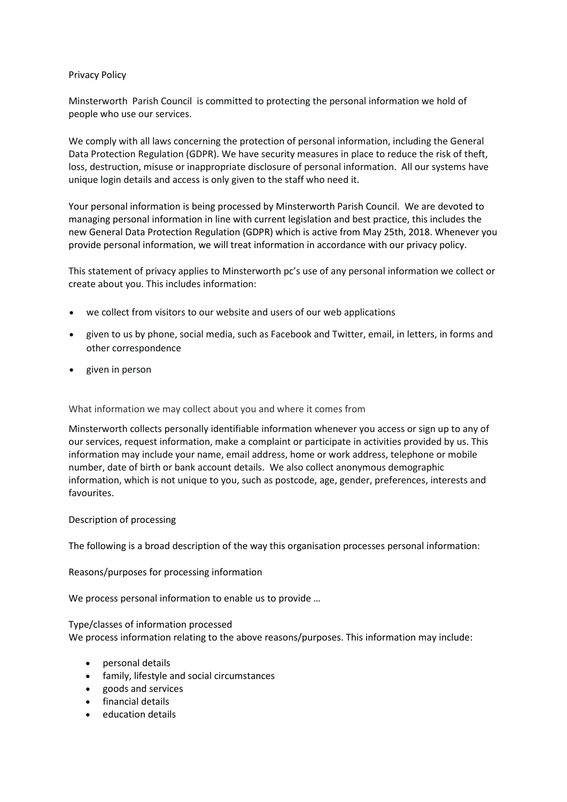# Privacy Policy

Minsterworth Parish Council is committed to protecting the personal information we hold of people who use our services.

We comply with all laws concerning the protection of personal information, including the General Data Protection Regulation (GDPR). We have security measures in place to reduce the risk of theft, loss, destruction, misuse or inappropriate disclosure of personal information. All our systems have unique login details and access is only given to the staff who need it.

Your personal information is being processed by Minsterworth Parish Council. We are devoted to managing personal information in line with current legislation and best practice, this includes the new General Data Protection Regulation (GDPR) which is active from May 25th, 2018. Whenever you provide personal information, we will treat information in accordance with our privacy policy.

This statement of privacy applies to Minsterworth pc's use of any personal information we collect or create about you. This includes information:

- we collect from visitors to our website and users of our web applications
- given to us by phone, social media, such as Facebook and Twitter, email, in letters, in forms and other correspondence
- given in person

# What information we may collect about you and where it comes from

Minsterworth collects personally identifiable information whenever you access or sign up to any of our services, request information, make a complaint or participate in activities provided by us. This information may include your name, email address, home or work address, telephone or mobile number, date of birth or bank account details. We also collect anonymous demographic information, which is not unique to you, such as postcode, age, gender, preferences, interests and favourites.

# Description of processing

The following is a broad description of the way this organisation processes personal information:

Reasons/purposes for processing information

We process personal information to enable us to provide …

# Type/classes of information processed

We process information relating to the above reasons/purposes. This information may include:

- personal details
- family, lifestyle and social circumstances
- goods and services
- financial details
- education details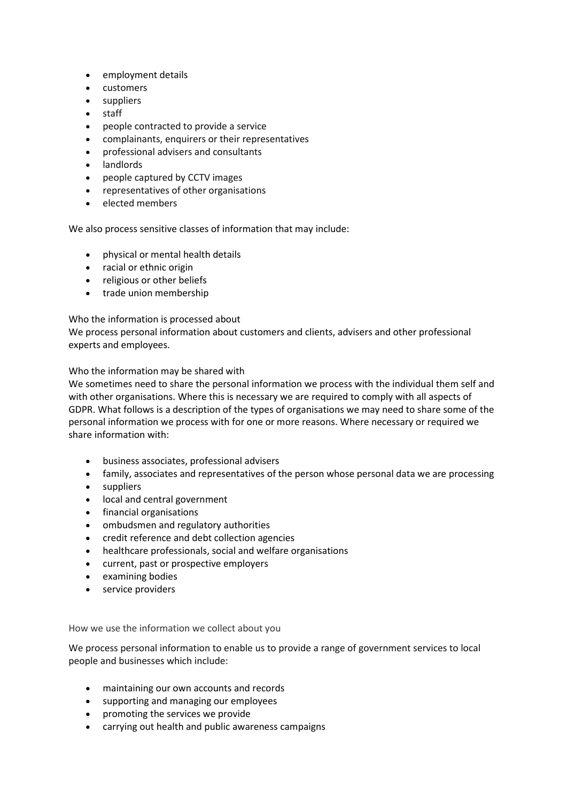- employment details
- customers
- suppliers
- staff
- people contracted to provide a service
- complainants, enquirers or their representatives
- professional advisers and consultants
- landlords
- people captured by CCTV images
- representatives of other organisations
- elected members

We also process sensitive classes of information that may include:

- physical or mental health details
- racial or ethnic origin
- religious or other beliefs
- trade union membership

# Who the information is processed about

We process personal information about customers and clients, advisers and other professional experts and employees.

Who the information may be shared with

We sometimes need to share the personal information we process with the individual them self and with other organisations. Where this is necessary we are required to comply with all aspects of GDPR. What follows is a description of the types of organisations we may need to share some of the personal information we process with for one or more reasons. Where necessary or required we share information with:

- business associates, professional advisers
- family, associates and representatives of the person whose personal data we are processing
- suppliers
- local and central government
- financial organisations
- ombudsmen and regulatory authorities
- credit reference and debt collection agencies
- healthcare professionals, social and welfare organisations
- current, past or prospective employers
- examining bodies
- service providers

# How we use the information we collect about you

We process personal information to enable us to provide a range of government services to local people and businesses which include:

- maintaining our own accounts and records
- supporting and managing our employees
- promoting the services we provide
- carrying out health and public awareness campaigns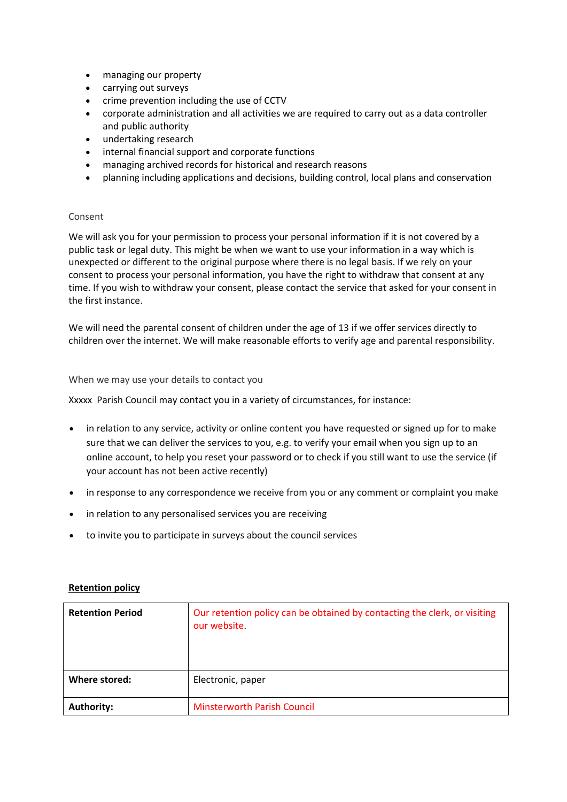- managing our property
- carrying out surveys
- crime prevention including the use of CCTV
- corporate administration and all activities we are required to carry out as a data controller and public authority
- undertaking research
- internal financial support and corporate functions
- managing archived records for historical and research reasons
- planning including applications and decisions, building control, local plans and conservation

#### Consent

We will ask you for your permission to process your personal information if it is not covered by a public task or legal duty. This might be when we want to use your information in a way which is unexpected or different to the original purpose where there is no legal basis. If we rely on your consent to process your personal information, you have the right to withdraw that consent at any time. If you wish to withdraw your consent, please contact the service that asked for your consent in the first instance.

We will need the parental consent of children under the age of 13 if we offer services directly to children over the internet. We will make reasonable efforts to verify age and parental responsibility.

#### When we may use your details to contact you

Xxxxx Parish Council may contact you in a variety of circumstances, for instance:

- in relation to any service, activity or online content you have requested or signed up for to make sure that we can deliver the services to you, e.g. to verify your email when you sign up to an online account, to help you reset your password or to check if you still want to use the service (if your account has not been active recently)
- in response to any correspondence we receive from you or any comment or complaint you make
- in relation to any personalised services you are receiving
- to invite you to participate in surveys about the council services

| <b>Retention Period</b> | Our retention policy can be obtained by contacting the clerk, or visiting<br>our website. |
|-------------------------|-------------------------------------------------------------------------------------------|
| Where stored:           | Electronic, paper                                                                         |
| Authority:              | <b>Minsterworth Parish Council</b>                                                        |

# **Retention policy**